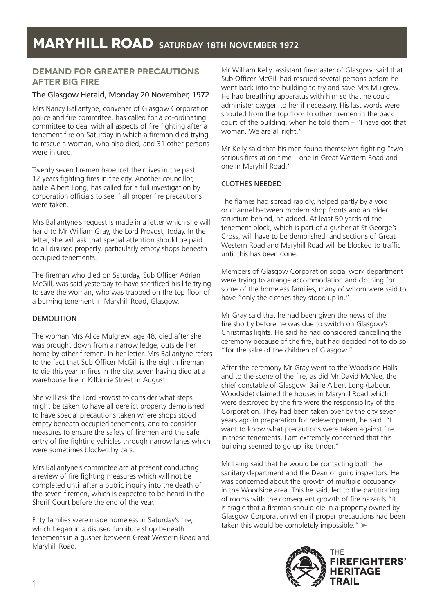# **MARYHILL ROAD SATURDAY 18TH NOVEMBER 1972**

## **Demand for greater precautions after big fire**

#### The Glasgow Herald, Monday 20 November, 1972

Mrs Nancy Ballantyne, convener of Glasgow Corporation police and fire committee, has called for a co-ordinating committee to deal with all aspects of fire fighting after a tenement fire on Saturday in which a fireman died trying to rescue a woman, who also died, and 31 other persons were injured.

Twenty seven firemen have lost their lives in the past 12 years fighting fires in the city. Another councillor, bailie Albert Long, has called for a full investigation by corporation officials to see if all proper fire precautions were taken.

Mrs Ballantyne's request is made in a letter which she will hand to Mr William Gray, the Lord Provost, today. In the letter, she will ask that special attention should be paid to all disused property, particularly empty shops beneath occupied tenements.

The fireman who died on Saturday, Sub Officer Adrian McGill, was said yesterday to have sacrificed his life trying to save the woman, who was trapped on the top floor of a burning tenement in Maryhill Road, Glasgow.

#### DEMOLITION

The woman Mrs Alice Mulgrew, age 48, died after she was brought down from a narrow ledge, outside her home by other firemen. In her letter, Mrs Ballantyne refers to the fact that Sub Officer McGill is the eighth fireman to die this year in fires in the city, seven having died at a warehouse fire in Kilbirnie Street in August.

She will ask the Lord Provost to consider what steps might be taken to have all derelict property demolished, to have special precautions taken where shops stood empty beneath occupied tenements, and to consider measures to ensure the safety of firemen and the safe entry of fire fighting vehicles through narrow lanes which were sometimes blocked by cars.

Mrs Ballantyne's committee are at present conducting a review of fire fighting measures which will not be completed until after a public inquiry into the death of the seven firemen, which is expected to be heard in the Sherif Court before the end of the year.

Fifty families were made homeless in Saturday's fire, which began in a disused furniture shop beneath tenements in a gusher between Great Western Road and Maryhill Road.

Mr William Kelly, assistant firemaster of Glasgow, said that Sub Officer McGill had rescued several persons before he went back into the building to try and save Mrs Mulgrew. He had breathing apparatus with him so that he could administer oxygen to her if necessary. His last words were shouted from the top floor to other firemen in the back court of the building, when he told them – "I have got that woman. We are all right."

Mr Kelly said that his men found themselves fighting "two serious fires at on time – one in Great Western Road and one in Maryhill Road."

#### CLOTHES NEEDED

The flames had spread rapidly, helped partly by a void or channel between modern shop fronts and an older structure behind, he added. At least 50 yards of the tenement block, which is part of a gusher at St George's Cross, will have to be demolished, and sections of Great Western Road and Maryhill Road will be blocked to traffic until this has been done.

Members of Glasgow Corporation social work department were trying to arrange accommodation and clothing for some of the homeless families, many of whom were said to have "only the clothes they stood up in."

Mr Gray said that he had been given the news of the fire shortly before he was due to switch on Glasgow's Christmas lights. He said he had considered cancelling the ceremony because of the fire, but had decided not to do so "for the sake of the children of Glasgow."

After the ceremony Mr Gray went to the Woodside Halls and to the scene of the fire, as did Mr David McNee, the chief constable of Glasgow. Bailie Albert Long (Labour, Woodside) claimed the houses in Maryhill Road which were destroyed by the fire were the responsibility of the Corporation. They had been taken over by the city seven years ago in preparation for redevelopment, he said. "I want to know what precautions were taken against fire in these tenements. I am extremely concerned that this building seemed to go up like tinder."

Mr Laing said that he would be contacting both the sanitary department and the Dean of guild inspectors. He was concerned about the growth of multiple occupancy in the Woodside area. This he said, led to the partitioning of rooms with the consequent growth of fire hazards."It is tragic that a fireman should die in a property owned by Glasgow Corporation when if proper precautions had been taken this would be completely impossible." ►

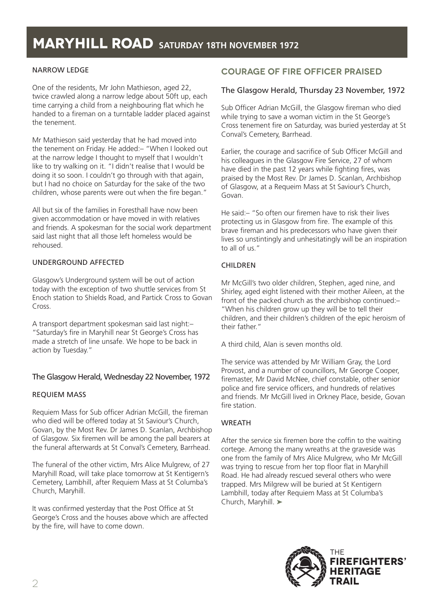## **MARYHILL ROAD SATURDAY 18TH NOVEMBER 1972**

#### NARROW LEDGE

One of the residents, Mr John Mathieson, aged 22, twice crawled along a narrow ledge about 50ft up, each time carrying a child from a neighbouring flat which he handed to a fireman on a turntable ladder placed against the tenement.

Mr Mathieson said yesterday that he had moved into the tenement on Friday. He added:– "When I looked out at the narrow ledge I thought to myself that I wouldn't like to try walking on it. "I didn't realise that I would be doing it so soon. I couldn't go through with that again, but I had no choice on Saturday for the sake of the two children, whose parents were out when the fire began."

All but six of the families in Foresthall have now been given accommodation or have moved in with relatives and friends. A spokesman for the social work department said last night that all those left homeless would be rehoused.

#### UNDERGROUND AFFECTED

Glasgow's Underground system will be out of action today with the exception of two shuttle services from St Enoch station to Shields Road, and Partick Cross to Govan Cross.

A transport department spokesman said last night:– "Saturday's fire in Maryhill near St George's Cross has made a stretch of line unsafe. We hope to be back in action by Tuesday."

#### The Glasgow Herald, Wednesday 22 November, 1972

#### REQUIEM MASS

Requiem Mass for Sub officer Adrian McGill, the fireman who died will be offered today at St Saviour's Church, Govan, by the Most Rev. Dr James D. Scanlan, Archbishop of Glasgow. Six firemen will be among the pall bearers at the funeral afterwards at St Conval's Cemetery, Barrhead.

The funeral of the other victim, Mrs Alice Mulgrew, of 27 Maryhill Road, will take place tomorrow at St Kentigern's Cemetery, Lambhill, after Requiem Mass at St Columba's Church, Maryhill.

It was confirmed yesterday that the Post Office at St George's Cross and the houses above which are affected by the fire, will have to come down.

## **COURAGE OF FIRE OFFICER PRAISED**

#### The Glasgow Herald, Thursday 23 November, 1972

Sub Officer Adrian McGill, the Glasgow fireman who died while trying to save a woman victim in the St George's Cross tenement fire on Saturday, was buried yesterday at St Conval's Cemetery, Barrhead.

Earlier, the courage and sacrifice of Sub Officer McGill and his colleagues in the Glasgow Fire Service, 27 of whom have died in the past 12 years while fighting fires, was praised by the Most Rev. Dr James D. Scanlan, Archbishop of Glasgow, at a Requeim Mass at St Saviour's Church, Govan.

He said:– "So often our firemen have to risk their lives protecting us in Glasgow from fire. The example of this brave fireman and his predecessors who have given their lives so unstintingly and unhesitatingly will be an inspiration to all of us."

#### CHILDREN

Mr McGill's two older children, Stephen, aged nine, and Shirley, aged eight listened with their mother Aileen, at the front of the packed church as the archbishop continued:– "When his children grow up they will be to tell their children, and their children's children of the epic heroism of their father."

A third child, Alan is seven months old.

The service was attended by Mr William Gray, the Lord Provost, and a number of councillors, Mr George Cooper, firemaster, Mr David McNee, chief constable, other senior police and fire service officers, and hundreds of relatives and friends. Mr McGill lived in Orkney Place, beside, Govan fire station.

#### **WREATH**

After the service six firemen bore the coffin to the waiting cortege. Among the many wreaths at the graveside was one from the family of Mrs Alice Mulgrew, who Mr McGill was trying to rescue from her top floor flat in Maryhill Road. He had already rescued several others who were trapped. Mrs Milgrew will be buried at St Kentigern Lambhill, today after Requiem Mass at St Columba's Church, Maryhill. ➤